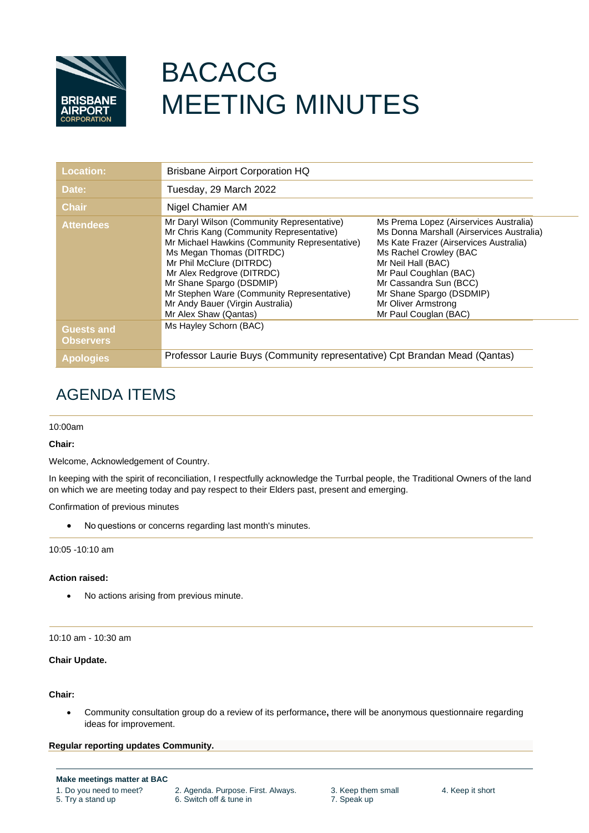

# BACACG MEETING MINUTES

| <b>Location:</b>                      | <b>Brisbane Airport Corporation HQ</b>                                                                                                                                                                                                                                                                                                                              |                                                                                                                                                                                                                                                                                                               |  |
|---------------------------------------|---------------------------------------------------------------------------------------------------------------------------------------------------------------------------------------------------------------------------------------------------------------------------------------------------------------------------------------------------------------------|---------------------------------------------------------------------------------------------------------------------------------------------------------------------------------------------------------------------------------------------------------------------------------------------------------------|--|
| Date:                                 | Tuesday, 29 March 2022                                                                                                                                                                                                                                                                                                                                              |                                                                                                                                                                                                                                                                                                               |  |
| <b>Chair</b>                          | Nigel Chamier AM                                                                                                                                                                                                                                                                                                                                                    |                                                                                                                                                                                                                                                                                                               |  |
| <b>Attendees</b>                      | Mr Daryl Wilson (Community Representative)<br>Mr Chris Kang (Community Representative)<br>Mr Michael Hawkins (Community Representative)<br>Ms Megan Thomas (DITRDC)<br>Mr Phil McClure (DITRDC)<br>Mr Alex Redgrove (DITRDC)<br>Mr Shane Spargo (DSDMIP)<br>Mr Stephen Ware (Community Representative)<br>Mr Andy Bauer (Virgin Australia)<br>Mr Alex Shaw (Qantas) | Ms Prema Lopez (Airservices Australia)<br>Ms Donna Marshall (Airservices Australia)<br>Ms Kate Frazer (Airservices Australia)<br>Ms Rachel Crowley (BAC<br>Mr Neil Hall (BAC)<br>Mr Paul Coughlan (BAC)<br>Mr Cassandra Sun (BCC)<br>Mr Shane Spargo (DSDMIP)<br>Mr Oliver Armstrong<br>Mr Paul Couglan (BAC) |  |
| <b>Guests and</b><br><b>Observers</b> | Ms Hayley Schorn (BAC)                                                                                                                                                                                                                                                                                                                                              |                                                                                                                                                                                                                                                                                                               |  |
| <b>Apologies</b>                      | Professor Laurie Buys (Community representative) Cpt Brandan Mead (Qantas)                                                                                                                                                                                                                                                                                          |                                                                                                                                                                                                                                                                                                               |  |

# AGENDA ITEMS

# 10:00am

# **Chair:**

Welcome, Acknowledgement of Country.

In keeping with the spirit of reconciliation, I respectfully acknowledge the Turrbal people, the Traditional Owners of the land on which we are meeting today and pay respect to their Elders past, present and emerging.

Confirmation of previous minutes

• No questions or concerns regarding last month's minutes.

10:05 -10:10 am

# **Action raised:**

• No actions arising from previous minute.

10:10 am - 10:30 am

# **Chair Update.**

# **Chair:**

• Community consultation group do a review of its performance**,** there will be anonymous questionnaire regarding ideas for improvement.

**Regular reporting updates Community.**

**Make meetings matter at BAC**

- 
- 1. Do you need to meet? 2. Agenda. Purpose. First. Always. 3. Keep them small 4. Keep it short<br>5. Try a stand up 6. Switch off & tune in 7. Speak up 6. Switch off & tune in
	-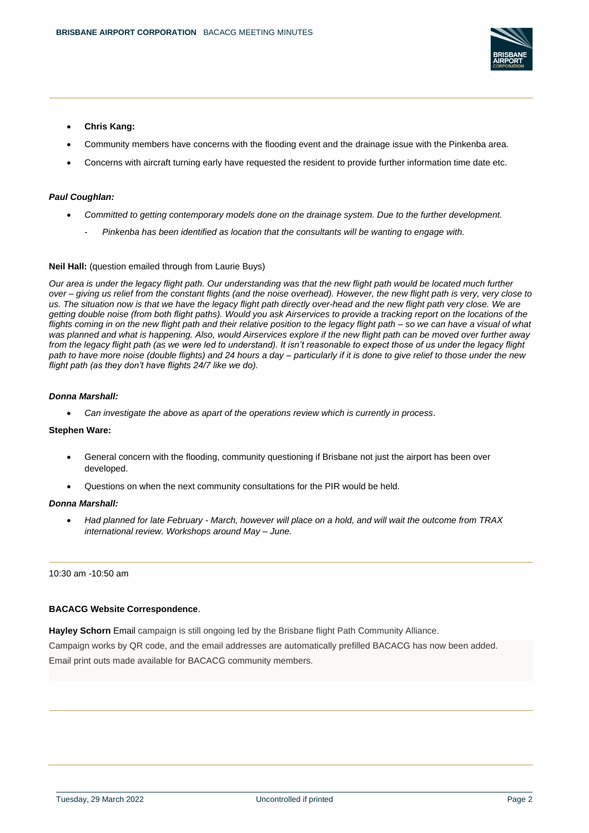

- **Chris Kang:**
- Community members have concerns with the flooding event and the drainage issue with the Pinkenba area.
- Concerns with aircraft turning early have requested the resident to provide further information time date etc.

#### *Paul Coughlan:*

- *Committed to getting contemporary models done on the drainage system. Due to the further development.* 
	- *Pinkenba has been identified as location that the consultants will be wanting to engage with.*

#### **Neil Hall:** (question emailed through from Laurie Buys)

*Our area is under the legacy flight path. Our understanding was that the new flight path would be located much further over – giving us relief from the constant flights (and the noise overhead). However, the new flight path is very, very close to us. The situation now is that we have the legacy flight path directly over-head and the new flight path very close. We are getting double noise (from both flight paths). Would you ask Airservices to provide a tracking report on the locations of the flights coming in on the new flight path and their relative position to the legacy flight path – so we can have a visual of what was planned and what is happening. Also, would Airservices explore if the new flight path can be moved over further away from the legacy flight path (as we were led to understand). It isn't reasonable to expect those of us under the legacy flight path to have more noise (double flights) and 24 hours a day – particularly if it is done to give relief to those under the new flight path (as they don't have flights 24/7 like we do).*

#### *Donna Marshall:*

• *Can investigate the above as apart of the operations review which is currently in process*.

#### **Stephen Ware:**

- General concern with the flooding, community questioning if Brisbane not just the airport has been over developed.
- Questions on when the next community consultations for the PIR would be held.

#### *Donna Marshall:*

• *Had planned for late February - March, however will place on a hold, and will wait the outcome from TRAX international review. Workshops around May – June.*

#### 10:30 am -10:50 am

#### **BACACG Website Correspondence**.

**Hayley Schorn** Email campaign is still ongoing led by the Brisbane flight Path Community Alliance. Campaign works by QR code, and the email addresses are automatically prefilled BACACG has now been added. Email print outs made available for BACACG community members.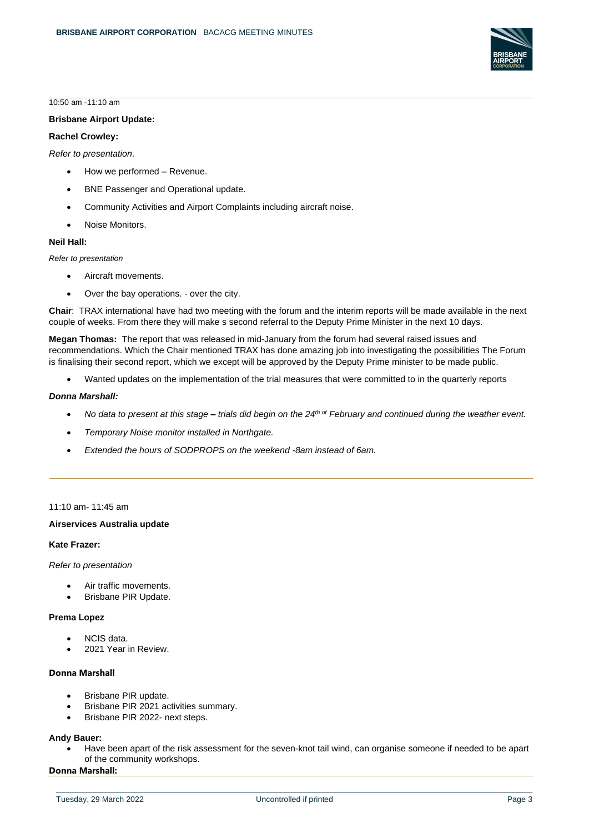

10:50 am -11:10 am

#### **Brisbane Airport Update:**

# **Rachel Crowley:**

*Refer to presentation*.

- How we performed Revenue.
- BNE Passenger and Operational update.
- Community Activities and Airport Complaints including aircraft noise.
- Noise Monitors.

#### **Neil Hall:**

*Refer to presentation*

- Aircraft movements.
- Over the bay operations. over the city.

**Chair**: TRAX international have had two meeting with the forum and the interim reports will be made available in the next couple of weeks. From there they will make s second referral to the Deputy Prime Minister in the next 10 days.

**Megan Thomas:** The report that was released in mid-January from the forum had several raised issues and recommendations. Which the Chair mentioned TRAX has done amazing job into investigating the possibilities The Forum is finalising their second report, which we except will be approved by the Deputy Prime minister to be made public.

• Wanted updates on the implementation of the trial measures that were committed to in the quarterly reports

#### *Donna Marshall:*

- *No data to present at this stage – trials did begin on the 24th of February and continued during the weather event.*
- *Temporary Noise monitor installed in Northgate.*
- *Extended the hours of SODPROPS on the weekend -8am instead of 6am.*

#### 11:10 am- 11:45 am

#### **Airservices Australia update**

#### **Kate Frazer:**

*Refer to presentation*

- Air traffic movements.
- Brisbane PIR Update.

#### **Prema Lopez**

- NCIS data.
- 2021 Year in Review.

# **Donna Marshall**

- Brisbane PIR update.
- Brisbane PIR 2021 activities summary.
- Brisbane PIR 2022- next steps.

#### **Andy Bauer:**

• Have been apart of the risk assessment for the seven-knot tail wind, can organise someone if needed to be apart of the community workshops.

# **Donna Marshall:**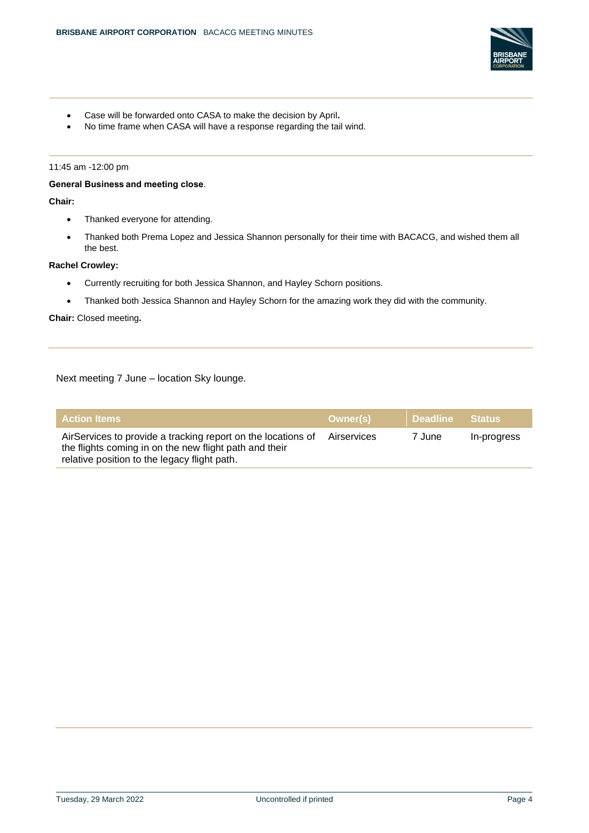

- Case will be forwarded onto CASA to make the decision by April**.**
- No time frame when CASA will have a response regarding the tail wind.

#### 11:45 am -12:00 pm

# **General Business and meeting close**.

# **Chair:**

- Thanked everyone for attending.
- Thanked both Prema Lopez and Jessica Shannon personally for their time with BACACG, and wished them all the best.

# **Rachel Crowley:**

- Currently recruiting for both Jessica Shannon, and Hayley Schorn positions.
- Thanked both Jessica Shannon and Hayley Schorn for the amazing work they did with the community.

#### **Chair:** Closed meeting**.**

Next meeting 7 June – location Sky lounge.

| $\,$ Action Items $^{\textrm{\text{!`}}}$                                                                                                                              | Owner(s)    | <b>Deadline Status</b> |             |
|------------------------------------------------------------------------------------------------------------------------------------------------------------------------|-------------|------------------------|-------------|
| AirServices to provide a tracking report on the locations of<br>the flights coming in on the new flight path and their<br>relative position to the legacy flight path. | Airservices | 7 June                 | In-progress |